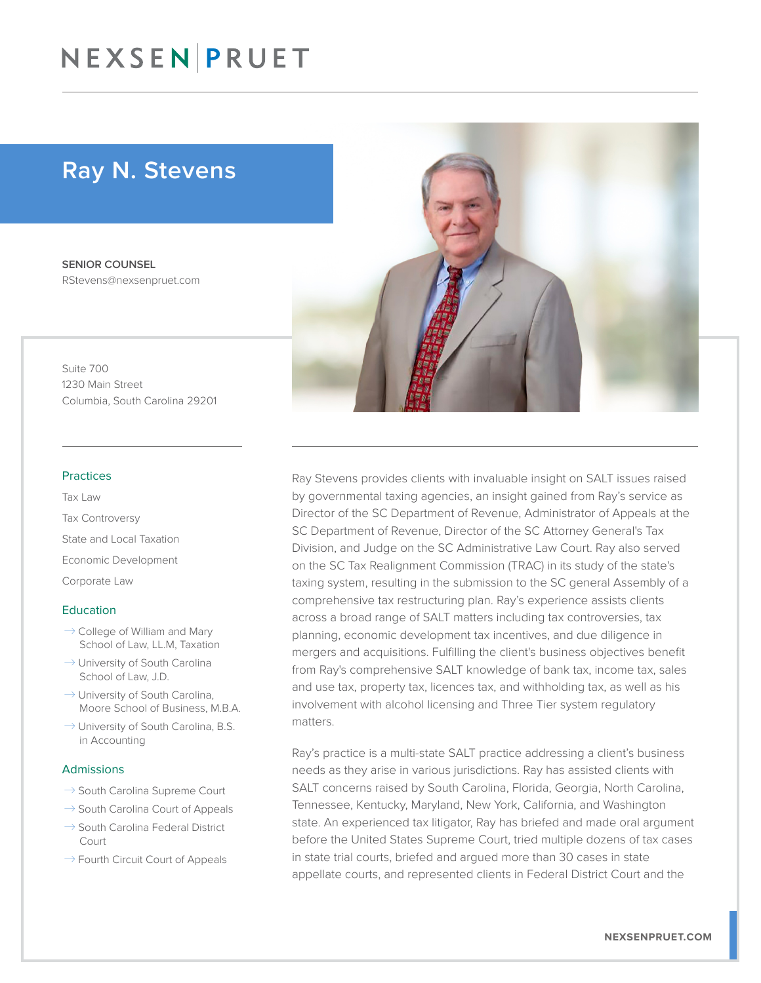### NEXSEN PRUET

### Ray N. Stevens

SENIOR COUNSEL RStevens@nexsenpruet.com

Suite 700 1230 Main Street Columbia, South Carolina 29201

#### Practices

Tax Law Tax Controversy State and Local Taxation Economic Development Corporate Law

#### Education

- $\rightarrow$  College of William and Mary School of Law, LL.M, Taxation
- $\rightarrow$  University of South Carolina School of Law, J.D.
- $\rightarrow$  University of South Carolina, Moore School of Business, M.B.A.
- $\rightarrow$  University of South Carolina, B.S. in Accounting

### Admissions

- $\rightarrow$  South Carolina Supreme Court
- $\rightarrow$  South Carolina Court of Appeals
- $\rightarrow$  South Carolina Federal District Court
- $\rightarrow$  Fourth Circuit Court of Appeals



Ray Stevens provides clients with invaluable insight on SALT issues raised by governmental taxing agencies, an insight gained from Ray's service as Director of the SC Department of Revenue, Administrator of Appeals at the SC Department of Revenue, Director of the SC Attorney General's Tax Division, and Judge on the SC Administrative Law Court. Ray also served on the SC Tax Realignment Commission (TRAC) in its study of the state's taxing system, resulting in the submission to the SC general Assembly of a comprehensive tax restructuring plan. Ray's experience assists clients across a broad range of SALT matters including tax controversies, tax planning, economic development tax incentives, and due diligence in mergers and acquisitions. Fulfilling the client's business objectives benefit from Ray's comprehensive SALT knowledge of bank tax, income tax, sales and use tax, property tax, licences tax, and withholding tax, as well as his involvement with alcohol licensing and Three Tier system regulatory matters.

Ray's practice is a multi-state SALT practice addressing a client's business needs as they arise in various jurisdictions. Ray has assisted clients with SALT concerns raised by South Carolina, Florida, Georgia, North Carolina, Tennessee, Kentucky, Maryland, New York, California, and Washington state. An experienced tax litigator, Ray has briefed and made oral argument before the United States Supreme Court, tried multiple dozens of tax cases in state trial courts, briefed and argued more than 30 cases in state appellate courts, and represented clients in Federal District Court and the

**NEXSENPRUET.COM**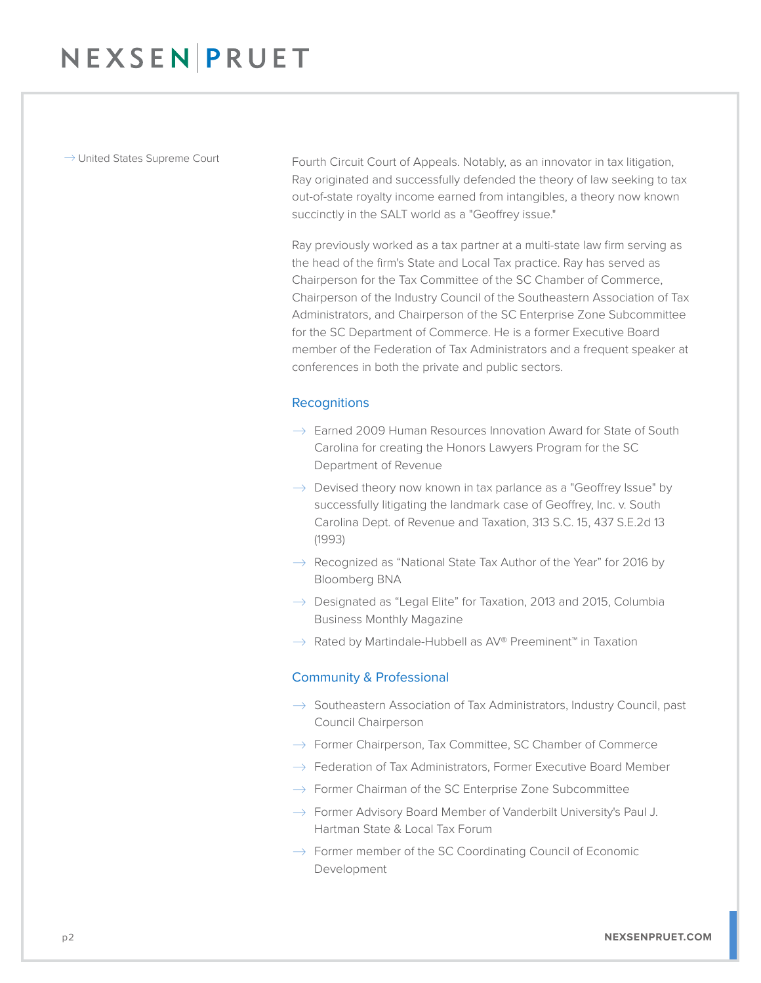$\rightarrow$  United States Supreme Court Fourth Circuit Court of Appeals. Notably, as an innovator in tax litigation, Ray originated and successfully defended the theory of law seeking to tax out-of-state royalty income earned from intangibles, a theory now known succinctly in the SALT world as a "Geoffrey issue."

> Ray previously worked as a tax partner at a multi-state law firm serving as the head of the firm's State and Local Tax practice. Ray has served as Chairperson for the Tax Committee of the SC Chamber of Commerce, Chairperson of the Industry Council of the Southeastern Association of Tax Administrators, and Chairperson of the SC Enterprise Zone Subcommittee for the SC Department of Commerce. He is a former Executive Board member of the Federation of Tax Administrators and a frequent speaker at conferences in both the private and public sectors.

### **Recognitions**

- $\rightarrow$  Earned 2009 Human Resources Innovation Award for State of South Carolina for creating the Honors Lawyers Program for the SC Department of Revenue
- $\rightarrow$  Devised theory now known in tax parlance as a "Geoffrey Issue" by successfully litigating the landmark case of Geoffrey, Inc. v. South Carolina Dept. of Revenue and Taxation, 313 S.C. 15, 437 S.E.2d 13 (1993)
- $\rightarrow$  Recognized as "National State Tax Author of the Year" for 2016 by Bloomberg BNA
- $\rightarrow$  Designated as "Legal Elite" for Taxation, 2013 and 2015, Columbia Business Monthly Magazine
- $\rightarrow$  Rated by Martindale-Hubbell as AV® Preeminent™ in Taxation

### Community & Professional

- $\rightarrow$  Southeastern Association of Tax Administrators, Industry Council, past Council Chairperson
- $\rightarrow$  Former Chairperson, Tax Committee, SC Chamber of Commerce
- $\rightarrow$  Federation of Tax Administrators, Former Executive Board Member
- $\rightarrow$  Former Chairman of the SC Enterprise Zone Subcommittee
- $\rightarrow$  Former Advisory Board Member of Vanderbilt University's Paul J. Hartman State & Local Tax Forum
- $\rightarrow$  Former member of the SC Coordinating Council of Economic Development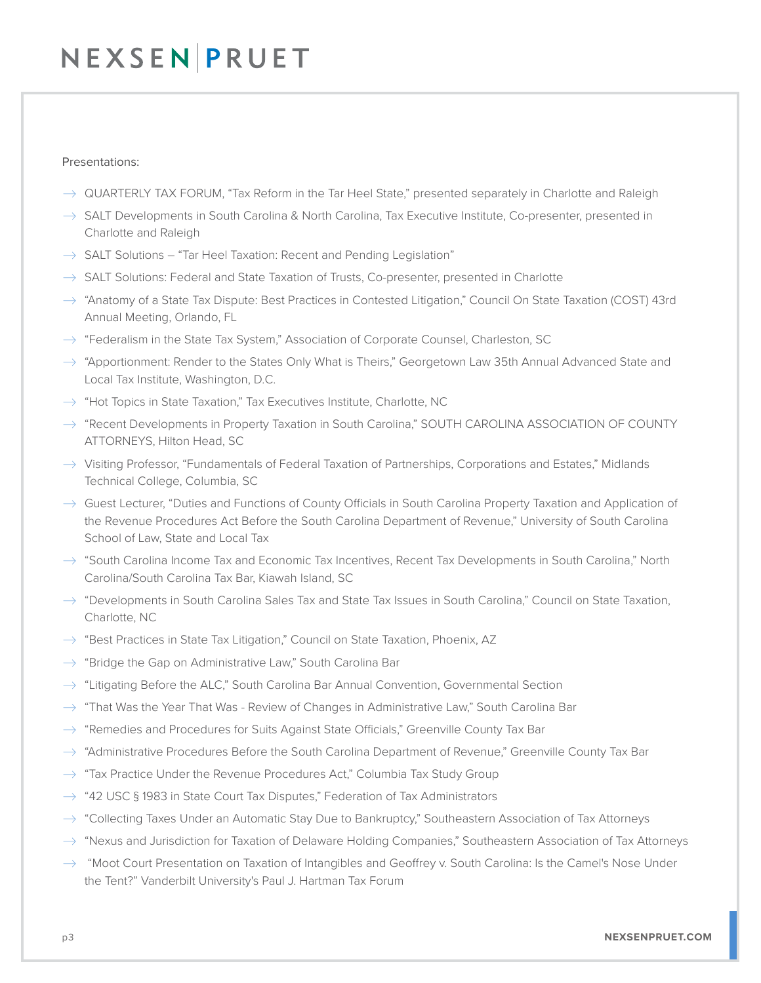## NEXSEN PRUET

### Presentations:

- $\rightarrow$  QUARTERLY TAX FORUM, "Tax Reform in the Tar Heel State," presented separately in Charlotte and Raleigh
- $\rightarrow$  SALT Developments in South Carolina & North Carolina, Tax Executive Institute, Co-presenter, presented in Charlotte and Raleigh
- $\rightarrow$  SALT Solutions "Tar Heel Taxation: Recent and Pending Legislation"
- $\rightarrow$  SALT Solutions: Federal and State Taxation of Trusts, Co-presenter, presented in Charlotte
- $\rightarrow$  "Anatomy of a State Tax Dispute: Best Practices in Contested Litigation," Council On State Taxation (COST) 43rd Annual Meeting, Orlando, FL
- $\rightarrow$  "Federalism in the State Tax System," Association of Corporate Counsel, Charleston, SC
- $\rightarrow$  "Apportionment: Render to the States Only What is Theirs," Georgetown Law 35th Annual Advanced State and Local Tax Institute, Washington, D.C.
- $\rightarrow$  "Hot Topics in State Taxation," Tax Executives Institute, Charlotte, NC
- $\rightarrow$  "Recent Developments in Property Taxation in South Carolina," SOUTH CAROLINA ASSOCIATION OF COUNTY ATTORNEYS, Hilton Head, SC
- $\rightarrow$  Visiting Professor, "Fundamentals of Federal Taxation of Partnerships, Corporations and Estates," Midlands Technical College, Columbia, SC
- $\rightarrow$  Guest Lecturer, "Duties and Functions of County Officials in South Carolina Property Taxation and Application of the Revenue Procedures Act Before the South Carolina Department of Revenue," University of South Carolina School of Law, State and Local Tax
- $\rightarrow$  "South Carolina Income Tax and Economic Tax Incentives, Recent Tax Developments in South Carolina," North Carolina/South Carolina Tax Bar, Kiawah Island, SC
- $\rightarrow$  "Developments in South Carolina Sales Tax and State Tax Issues in South Carolina," Council on State Taxation, Charlotte, NC
- $\rightarrow$  "Best Practices in State Tax Litigation," Council on State Taxation, Phoenix, AZ
- $\rightarrow$  "Bridge the Gap on Administrative Law," South Carolina Bar
- $\rightarrow$  "Litigating Before the ALC," South Carolina Bar Annual Convention, Governmental Section
- $\rightarrow$  "That Was the Year That Was Review of Changes in Administrative Law," South Carolina Bar
- $\rightarrow$  "Remedies and Procedures for Suits Against State Officials," Greenville County Tax Bar
- $\rightarrow$  "Administrative Procedures Before the South Carolina Department of Revenue," Greenville County Tax Bar
- $\rightarrow$  "Tax Practice Under the Revenue Procedures Act," Columbia Tax Study Group
- $\rightarrow$  "42 USC § 1983 in State Court Tax Disputes," Federation of Tax Administrators
- $\rightarrow$  "Collecting Taxes Under an Automatic Stay Due to Bankruptcy," Southeastern Association of Tax Attorneys
- $\rightarrow$  "Nexus and Jurisdiction for Taxation of Delaware Holding Companies," Southeastern Association of Tax Attorneys
- $\rightarrow$  "Moot Court Presentation on Taxation of Intangibles and Geoffrey v. South Carolina: Is the Camel's Nose Under the Tent?" Vanderbilt University's Paul J. Hartman Tax Forum